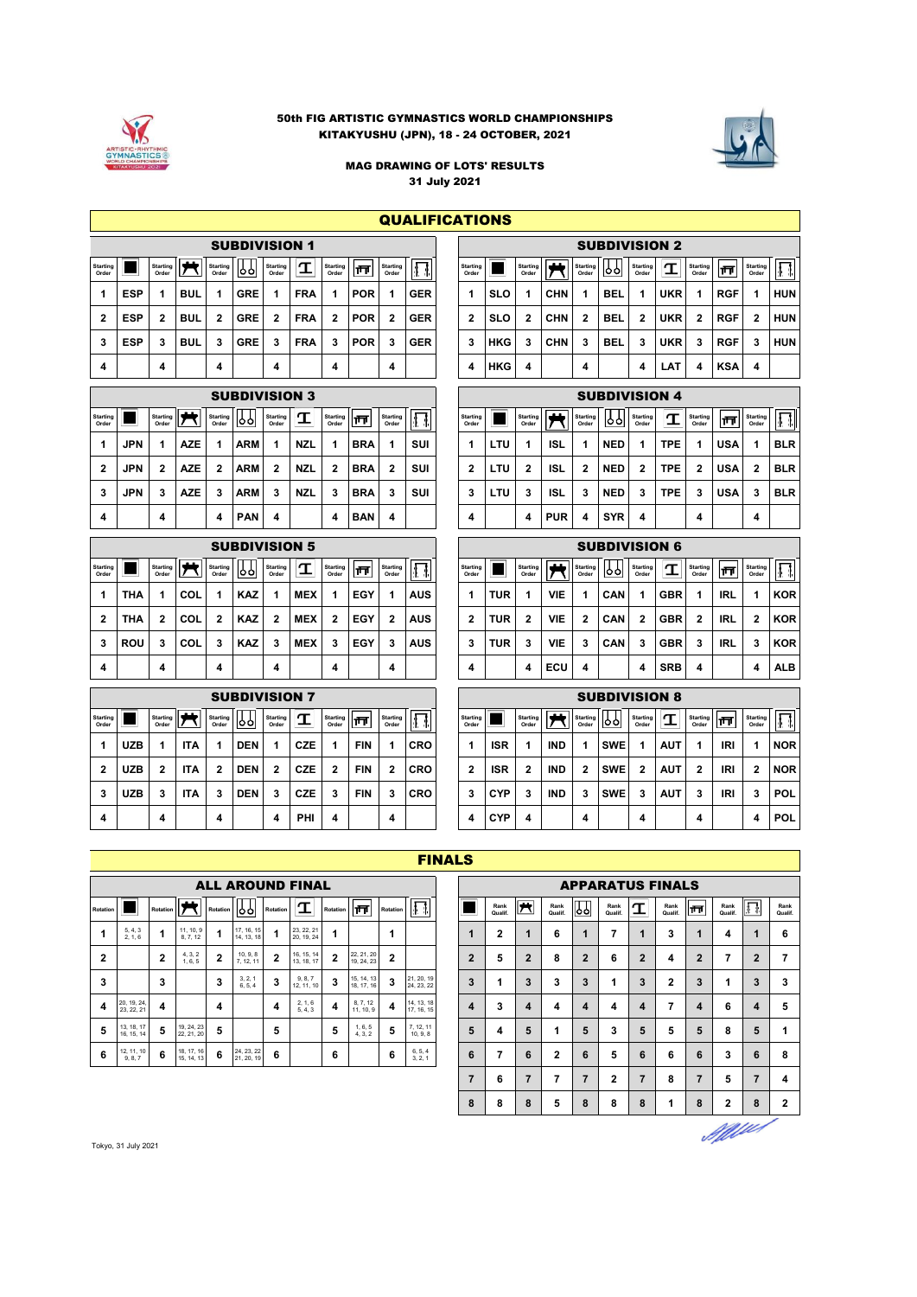

#### 50th FIG ARTISTIC GYMNASTICS WORLD CHAMPIONSHIPS KITAKYUSHU (JPN), 18 - 24 OCTOBER, 2021



MAG DRAWING OF LOTS' RESULTS 31 July 2021

**QUALIFICATIONS** 

|                          |            |                          |            |                          | <b>SUBDIVISION 1</b> |                          |            |                          |            |                          |            |                          |            |                          |            |                          |            |                   | <b>SUBDIVISION 2</b> |                          |            |                          |            |
|--------------------------|------------|--------------------------|------------|--------------------------|----------------------|--------------------------|------------|--------------------------|------------|--------------------------|------------|--------------------------|------------|--------------------------|------------|--------------------------|------------|-------------------|----------------------|--------------------------|------------|--------------------------|------------|
| <b>Starting</b><br>Order |            | <b>Starting</b><br>Order | . .        | <b>Starting</b><br>Order | ბბ                   | <b>Starting</b><br>Order | T          | <b>Starting</b><br>Order | −          | <b>Starting</b><br>Order |            | <b>Starting</b><br>Order |            | <b>Starting</b><br>Order | --         | <b>Starting</b><br>Order | 199        | Starting<br>Order | $\mathbf \tau$       | <b>Starting</b><br>Order | 襾          | <b>Starting</b><br>Order |            |
|                          | <b>ESP</b> |                          | <b>BUL</b> |                          | <b>GRE</b>           |                          | <b>FRA</b> |                          | <b>POR</b> |                          | <b>GER</b> |                          | <b>SLO</b> |                          | <b>CHN</b> |                          | <b>BEL</b> |                   | <b>UKR</b>           |                          | <b>RGF</b> |                          | <b>HUN</b> |
|                          | <b>ESP</b> |                          | <b>BUL</b> | 2                        | <b>GRE</b>           |                          | <b>FRA</b> | 2                        | <b>POR</b> | 2                        | <b>GER</b> | 2                        | <b>SLO</b> | 2                        | <b>CHN</b> | 2                        | <b>BEL</b> | 2                 | <b>UKR</b>           | -2                       | <b>RGF</b> | 2                        | <b>HUN</b> |
| 3                        | ESP        |                          | <b>BUL</b> | 3                        | <b>GRE</b>           |                          | <b>FRA</b> | 3                        | <b>POR</b> | 3                        | <b>GER</b> | 3                        | <b>HKG</b> | 3                        | <b>CHN</b> | 3                        | <b>BEL</b> | 3                 | <b>UKR</b>           | 3                        | <b>RGF</b> | 3                        | <b>HUN</b> |
| 4                        |            | 4                        |            | 4                        |                      | 4                        |            | 4                        |            | 4                        |            | 4                        | <b>HKG</b> | 4                        |            | 4                        |            | 4                 | LAT                  | 4                        | <b>KSA</b> | 4                        |            |

|                          | <b>SUBDIVISION 3</b><br>.<br><b>Starting</b><br><b>Starting</b><br>Starting  <br><b>Starting</b><br>∣ਜਜ<br>1991<br>Order<br>Order<br>Order<br>Order<br>Order<br><b>ARM</b><br><b>NZL</b><br><b>BRA</b><br><b>JPN</b><br><b>AZE</b> |   |            |  |            |   |            |   |            |                 |            |                          |            |                          |            |                          | <b>SUBDIVISION 4</b> |                          |            |                          |            |                          |            |
|--------------------------|------------------------------------------------------------------------------------------------------------------------------------------------------------------------------------------------------------------------------------|---|------------|--|------------|---|------------|---|------------|-----------------|------------|--------------------------|------------|--------------------------|------------|--------------------------|----------------------|--------------------------|------------|--------------------------|------------|--------------------------|------------|
| <b>Starting</b><br>Order |                                                                                                                                                                                                                                    |   |            |  |            |   |            |   |            | <b>Starting</b> |            | <b>Starting</b><br>Order |            | <b>Starting</b><br>Order | . .        | <b>Starting</b><br>Order | 99                   | <b>Starting</b><br>Order | σ          | <b>Starting</b><br>Order | ¶⊤         | <b>Starting</b><br>Order |            |
|                          |                                                                                                                                                                                                                                    |   |            |  |            |   |            |   |            |                 | <b>SUI</b> |                          | <b>LTU</b> |                          | <b>ISL</b> |                          | <b>NED</b>           |                          | <b>TPE</b> |                          | <b>USA</b> |                          | <b>BLR</b> |
|                          | <b>JPN</b>                                                                                                                                                                                                                         |   | <b>AZE</b> |  | <b>ARM</b> |   | <b>NZL</b> | 2 | <b>BRA</b> | 2               | <b>SUI</b> | 2                        | <b>LTU</b> | 2                        | <b>ISL</b> | 2                        | <b>NED</b>           | 2                        | <b>TPE</b> | 2                        | <b>USA</b> | $\overline{2}$           | <b>BLR</b> |
| 3                        | <b>JPN</b>                                                                                                                                                                                                                         |   | <b>AZE</b> |  | <b>ARM</b> |   | <b>NZL</b> | 3 | <b>BRA</b> | 3               | <b>SUI</b> | 3                        | LTU        | 3                        | <b>ISL</b> | 3                        | <b>NED</b>           | 3                        | <b>TPE</b> | 3                        | <b>USA</b> | 3                        | <b>BLR</b> |
|                          |                                                                                                                                                                                                                                    | 4 |            |  | <b>PAN</b> | 4 |            | 4 | <b>BAN</b> | 4               |            | 4                        |            | 4                        | <b>PUR</b> | 4                        | <b>SYR</b>           |                          |            | 4                        |            | 4                        |            |

|                          |            |                          |     |                          | <b>SUBDIVISION 5</b> |                          |            |                          |     |                          |            |
|--------------------------|------------|--------------------------|-----|--------------------------|----------------------|--------------------------|------------|--------------------------|-----|--------------------------|------------|
| <b>Starting</b><br>Order |            | <b>Starting</b><br>Order |     | <b>Starting</b><br>Order | ٥o                   | <b>Starting</b><br>Order | π          | <b>Starting</b><br>Order | 帀   | <b>Starting</b><br>Order |            |
| 1                        | THA        | 1                        | COL | 1                        | <b>KAZ</b>           | 1                        | <b>MEX</b> | 1                        | EGY | 1                        | <b>AUS</b> |
| $\mathbf{2}$             | THA        | 2                        | COL | $\mathbf{2}$             | <b>KAZ</b>           | 2                        | <b>MEX</b> | $\mathbf{2}$             | EGY | 2                        | <b>AUS</b> |
| 3                        | <b>ROU</b> | 3                        | COL | 3                        | <b>KAZ</b>           | 3                        | <b>MEX</b> | 3                        | EGY | 3                        | <b>AUS</b> |
| 4                        |            | 4                        |     | 4                        |                      | 4                        |            | 4                        |     | 4                        |            |

|                          |            |                      |            |                          | <b>SUBDIVISION 7</b> |                          |            |                          |            |                          |            |                          |            |                          |            |                          | <b>SUBDIVISION 8</b> |                          |            |
|--------------------------|------------|----------------------|------------|--------------------------|----------------------|--------------------------|------------|--------------------------|------------|--------------------------|------------|--------------------------|------------|--------------------------|------------|--------------------------|----------------------|--------------------------|------------|
| <b>Starting</b><br>Order |            | Starting   <br>Order | سعدا       | <b>Starting</b><br>Order | ၂၂၂                  | <b>Starting</b><br>Order | $\tau$     | <b>Starting</b><br>Order | 襾          | <b>Starting</b><br>Order |            | <b>Starting</b><br>Order |            | <b>Starting</b><br>Order |            | <b>Starting</b><br>Order | ାଚରା                 | <b>Starting</b><br>Order | T.         |
| 4                        | <b>UZB</b> |                      | <b>ITA</b> | ٠                        | <b>DEN</b>           | 4                        | <b>CZE</b> | 1                        | <b>FIN</b> | 1                        | <b>CRO</b> |                          | ISR        | 4                        | <b>IND</b> |                          | <b>SWE</b>           |                          | <b>AUT</b> |
| 2                        | <b>UZB</b> | 2                    | <b>ITA</b> | 2                        | <b>DEN</b>           | 2                        | CZE        | 2                        | <b>FIN</b> | 2                        | <b>CRO</b> | 2                        | ISR        | 2                        | <b>IND</b> | 2                        | <b>SWE</b>           | 2                        | <b>AUT</b> |
| 3                        | <b>UZB</b> | 3                    | <b>ITA</b> | 3                        | <b>DEN</b>           | 3                        | CZE        | 3                        | <b>FIN</b> | 3                        | <b>CRO</b> | 3                        | <b>CYP</b> | 3                        | <b>IND</b> | 3                        | <b>SWE</b>           | 3                        | <b>AUT</b> |
| 4                        |            | 4                    |            | 4                        |                      | 4                        | PHI        | 4                        |            | 4                        |            | 4                        | <b>CYP</b> | 4                        |            | 4                        |                      | 4                        |            |

|                   |            |                          |            |                          | <b>SUBDIVISION 2</b> |                          |            |                          |            |                          |            |
|-------------------|------------|--------------------------|------------|--------------------------|----------------------|--------------------------|------------|--------------------------|------------|--------------------------|------------|
| Starting<br>Order |            | <b>Starting</b><br>Order |            | <b>Starting</b><br>Order | oo                   | <b>Starting</b><br>Order | I          | <b>Starting</b><br>Order | 襾          | <b>Starting</b><br>Order | s.<br>Л.   |
| 1                 | <b>SLO</b> | 1                        | <b>CHN</b> | 1                        | BEL                  | 1                        | <b>UKR</b> | 1                        | <b>RGF</b> | 1                        | <b>HUN</b> |
| $\mathbf{2}$      | <b>SLO</b> | 2                        | <b>CHN</b> | 2                        | BEL                  | $\mathbf{2}$             | <b>UKR</b> | $\mathbf{2}$             | <b>RGF</b> | 2                        | <b>HUN</b> |
| 3                 | <b>HKG</b> | 3                        | <b>CHN</b> | 3                        | BEL                  | 3                        | <b>UKR</b> | 3                        | RGF        | 3                        | <b>HUN</b> |
| 4                 | <b>HKG</b> | 4                        |            | 4                        |                      | 4                        | LAT        | 4                        | <b>KSA</b> | 4                        |            |

|                          |     |                          |            |                          | <b>SUBDIVISION 4</b> |                          |            |                          |            |                          |            |
|--------------------------|-----|--------------------------|------------|--------------------------|----------------------|--------------------------|------------|--------------------------|------------|--------------------------|------------|
| <b>Starting</b><br>Order |     | <b>Starting</b><br>Order |            | <b>Starting</b><br>Order | የየ                   | <b>Starting</b><br>Order | Ί          | <b>Starting</b><br>Order | 帀          | <b>Starting</b><br>Order | \$         |
| 1                        | LTU | 1                        | ISL        | 1                        | <b>NED</b>           | 1                        | <b>TPE</b> | 1                        | <b>USA</b> | 1                        | <b>BLR</b> |
| $\mathbf{2}$             | LTU | 2                        | ISL        | 2                        | <b>NED</b>           | 2                        | <b>TPE</b> | 2                        | <b>USA</b> | 2                        | <b>BLR</b> |
| 3                        | LTU | 3                        | ISL        | 3                        | <b>NED</b>           | 3                        | <b>TPE</b> | 3                        | <b>USA</b> | 3                        | <b>BLR</b> |
| 4                        |     | 4                        | <b>PUR</b> | 4                        | <b>SYR</b>           | 4                        |            | 4                        |            | 4                        |            |

|                |            |                          |            |                          | <b>SUBDIVISION 5</b> |                   |            |                          |            |                   |            |                          |            |                          |            |                          | <b>SUBDIVISION 6</b> |                          |            |                          |            |                          |            |
|----------------|------------|--------------------------|------------|--------------------------|----------------------|-------------------|------------|--------------------------|------------|-------------------|------------|--------------------------|------------|--------------------------|------------|--------------------------|----------------------|--------------------------|------------|--------------------------|------------|--------------------------|------------|
| ırting<br>rder |            | <b>Starting</b><br>Order | .          | <b>Starting</b><br>Order | 10 O I               | Starting<br>Order |            | <b>Starting</b><br>Order | 帀          | Starting<br>Order |            | <b>Starting</b><br>Order |            | <b>Starting</b><br>Order |            | <b>Starting</b><br>Order | ାଚନା                 | <b>Starting</b><br>Order | $\tau$     | <b>Starting</b><br>Order | l۳         | <b>Starting</b><br>Order |            |
| 4              | <b>THA</b> |                          | COL        | 1                        | <b>KAZ</b>           |                   | <b>MEX</b> |                          | <b>EGY</b> |                   | <b>AUS</b> |                          | <b>TUR</b> |                          | <b>VIE</b> |                          | CAN                  |                          | <b>GBR</b> |                          | <b>IRL</b> |                          | <b>KOR</b> |
| 2              | <b>THA</b> | 2                        | COL        | 2                        | <b>KAZ</b>           | 2                 | <b>MEX</b> |                          | <b>EGY</b> |                   | AUS        | 2                        | <b>TUR</b> | 2                        | VIE        | 2                        | CAN                  | 2                        | <b>GBR</b> | 2                        | IRL        | 2                        | <b>KOR</b> |
| 3              | <b>ROU</b> | 3                        | <b>COL</b> | 3                        | <b>KAZ</b>           | 3                 | <b>MEX</b> |                          | <b>EGY</b> |                   | <b>AUS</b> | 3                        | <b>TUR</b> | 3                        | <b>VIE</b> | 3                        | CAN                  | 3                        | <b>GBR</b> | 3                        | <b>IRL</b> | 3                        | <b>KOR</b> |
| 4              |            | 4                        |            | 4                        |                      | 4                 |            | 4                        |            | 4                 |            | 4                        |            | 4                        | ECU        | 4                        |                      | 4                        | <b>SRB</b> | 4                        |            | 4                        | <b>ALB</b> |

|                |            |                     |            |                          | <b>SUBDIVISION 7</b> |                   |            |                          |            |                   |            |                          |            |                          |            |                          | <b>SUBDIVISION 8</b> |                          |            |                          |     |                   |            |
|----------------|------------|---------------------|------------|--------------------------|----------------------|-------------------|------------|--------------------------|------------|-------------------|------------|--------------------------|------------|--------------------------|------------|--------------------------|----------------------|--------------------------|------------|--------------------------|-----|-------------------|------------|
| ırting<br>rder |            | Starting  <br>Order | . .        | <b>Starting</b><br>Order | 10 O I               | Starting<br>Order |            | <b>Starting</b><br>Order | ान         | Starting<br>Order |            | <b>Starting</b><br>Order |            | <b>Starting</b><br>Order | .          | <b>Starting</b><br>Order | ାଚରା                 | <b>Starting</b><br>Order |            | <b>Starting</b><br>Order | ∣ਜਾ | Starting<br>Order |            |
|                | <b>UZB</b> | 1                   | <b>ITA</b> |                          | <b>DEN</b>           |                   | <b>CZE</b> |                          | <b>FIN</b> |                   | <b>CRO</b> |                          | <b>ISR</b> |                          | <b>IND</b> |                          | <b>SWE</b>           |                          | <b>AUT</b> |                          | IRI |                   | <b>NOR</b> |
| 2              | <b>UZB</b> | 2                   | <b>ITA</b> | $\mathbf 2$              | <b>DEN</b>           | 2                 | <b>CZE</b> | 2                        | <b>FIN</b> | 2                 | <b>CRO</b> | 2                        | <b>ISR</b> | 2                        | <b>IND</b> | 2                        | <b>SWE</b>           | $\overline{2}$           | <b>AUT</b> | 2                        | IRI | 2                 | <b>NOR</b> |
| 3              | <b>UZB</b> | 3                   | <b>ITA</b> | 3                        | <b>DEN</b>           |                   | <b>CZE</b> | 3                        | <b>FIN</b> | 3                 | <b>CRO</b> | 3                        | <b>CYP</b> | 3                        | <b>IND</b> | 3                        | <b>SWE</b>           | 3                        | <b>AUT</b> | 3                        | IRI | 3                 | <b>POL</b> |
| 4              |            | 4                   |            | 4                        |                      | 4                 | PHI        | 4                        |            | 4                 |            | 4                        | <b>CYP</b> | 4                        |            | 4                        |                      | 4                        |            | 4                        |     | 4                 | <b>POL</b> |

|                |                           |              |                          |                |                          |                         |                          |                |                          |                |                          | <b>FINALS</b> |                |                       |
|----------------|---------------------------|--------------|--------------------------|----------------|--------------------------|-------------------------|--------------------------|----------------|--------------------------|----------------|--------------------------|---------------|----------------|-----------------------|
|                |                           |              |                          |                |                          |                         | <b>ALL AROUND FINAL</b>  |                |                          |                |                          |               |                |                       |
| Rotation       |                           | Rotation     | . .                      | Rotation       | የየ                       | Rotation                | I                        | Rotation       | ∣ਜਾ                      | Rotation       | Ĵ.<br>串                  |               |                | Rank<br><b>Qualif</b> |
| 1              | 5, 4, 3<br>2, 1, 6        | 1            | 11, 10, 9<br>8, 7, 12    | 1              | 17, 16, 15<br>14, 13, 18 | 1                       | 23, 22, 21<br>20, 19, 24 | 1              |                          | 1              |                          |               | 1              | $\mathbf{2}$          |
| $\overline{2}$ |                           | $\mathbf{2}$ | 4, 3, 2<br>1, 6, 5       | $\overline{2}$ | 10, 9, 8<br>7, 12, 11    | $\overline{2}$          | 16, 15, 14<br>13, 18, 17 | $\overline{2}$ | 22, 21, 20<br>19, 24, 23 | $\overline{2}$ |                          |               | $\overline{2}$ | 5                     |
| 3              |                           | 3            |                          | 3              | 3, 2, 1<br>6, 5, 4       | 3                       | 9, 8, 7<br>12, 11, 10    | 3              | 15, 14, 13<br>18, 17, 16 | 3              | 21, 20, 19<br>24, 23, 22 |               | 3              | 1                     |
| 4              | 20, 19, 24,<br>23, 22, 21 | 4            |                          | 4              |                          | $\overline{\mathbf{4}}$ | 2, 1, 6<br>5, 4, 3       | $\overline{4}$ | 8, 7, 12<br>11, 10, 9    | $\overline{4}$ | 14, 13, 18<br>17, 16, 15 |               | 4              | 3                     |
| 5              | 13, 18, 17<br>16, 15, 14  | 5            | 19, 24, 23<br>22, 21, 20 | 5              |                          | 5                       |                          | 5              | 1, 6, 5<br>4.3.2         | 5              | 7, 12, 11<br>10.9.8      |               | 5              | 4                     |
| 6              | 12, 11, 10<br>9, 8, 7     | 6            | 18, 17, 16<br>15, 14, 13 | 6              | 24, 23, 22<br>21, 20, 19 | 6                       |                          | 6              |                          | 6              | 6, 5, 4<br>3, 2, 1       |               | 6              | 7                     |

|                        |              | <b>ALL AROUND FINAL</b>  |                |                          |                |                          |                         |                          |                         |                 |                       |                 |                | <b>APPARATUS FINALS</b> |                |                 |                         |                 |                |                 |
|------------------------|--------------|--------------------------|----------------|--------------------------|----------------|--------------------------|-------------------------|--------------------------|-------------------------|-----------------|-----------------------|-----------------|----------------|-------------------------|----------------|-----------------|-------------------------|-----------------|----------------|-----------------|
|                        | Rotation     | 99                       | Rotation       | I                        | Rotation       | ∣ਜਜ                      | Rotation                | $\mathbb{F}^*$           |                         | Rank<br>Qualif. | $\overline{\bm{\pi}}$ | Rank<br>Qualif. | 囚              | Rank<br>Qualif.         | I              | Rank<br>Qualif. | 帀                       | Rank<br>Qualif. | П              | Rank<br>Qualif. |
| , 9<br>$\overline{12}$ |              | 17, 16, 15<br>14, 13, 18 |                | 23, 22, 21<br>20, 19, 24 | 1              |                          | 1                       |                          | 1                       | $\mathbf{2}$    | 1                     | 6               | 1              | 7                       | 1              | 3               | $\mathbf{1}$            | 4               | 1              | 6               |
| $\frac{2}{5}$          | $\mathbf{2}$ | 10, 9, 8<br>7.12.11      | $\overline{2}$ | 16, 15, 14<br>13, 18, 17 | $\overline{2}$ | 22, 21, 20<br>19, 24, 23 | $\overline{\mathbf{2}}$ |                          | $\overline{2}$          | 5               | $\overline{2}$        | 8               | $\overline{2}$ | 6                       | $\overline{2}$ | 4               | $\overline{2}$          | 7               | $\overline{2}$ | 7               |
|                        | 3            | 3, 2, 1<br>6, 5, 4       | 3              | 9, 8, 7<br>12, 11, 10    | 3              | 15, 14, 13<br>18, 17, 16 | 3                       | 21, 20, 19<br>24, 23, 22 | 3                       | 1               | 3                     | 3               | 3              | 1                       | 3              | $\mathbf{2}$    | 3                       | 1               | 3              | 3               |
|                        | 4            |                          | 4              | 2, 1, 6<br>5, 4, 3       | 4              | 8, 7, 12<br>11, 10, 9    | 4                       | 14, 13, 18<br>17, 16, 15 | $\overline{\mathbf{4}}$ | 3               | 4                     | 4               | 4              | 4                       | 4              | 7               | $\overline{\mathbf{4}}$ | 6               | 4              | 5               |
| $\frac{23}{20}$        | 5            |                          | 5              |                          | 5              | 1, 6, 5<br>4, 3, 2       | 5                       | 7, 12, 11<br>10, 9, 8    | 5                       | 4               | 5                     | 1               | 5              | 3                       | 5              | 5               | 5                       | 8               | 5              | 1               |
| 16<br>13               | 6            | 24, 23, 22<br>21, 20, 19 | 6              |                          | 6              |                          | 6                       | 6, 5, 4<br>3, 2, 1       | 6                       | 7               | 6                     | $\mathbf{2}$    | 6              | 5                       | 6              | 6               | 6                       | 3               | 6              | 8               |
|                        |              |                          |                |                          |                |                          |                         |                          | $\overline{7}$          | 6               | $\overline{7}$        | 7               | $\overline{7}$ | $\mathbf{2}$            | $\overline{7}$ | 8               | $\overline{7}$          | 5               | $\overline{7}$ | 4               |
|                        |              |                          |                |                          |                |                          |                         |                          | 8                       | 8               | 8                     | 5               | 8              | 8                       | 8              | 1               | 8                       | 2               | 8              | $\mathbf{2}$    |
|                        |              |                          |                |                          |                |                          |                         |                          |                         |                 |                       |                 |                |                         |                |                 |                         |                 |                |                 |

Millet

Tokyo, 31 July 2021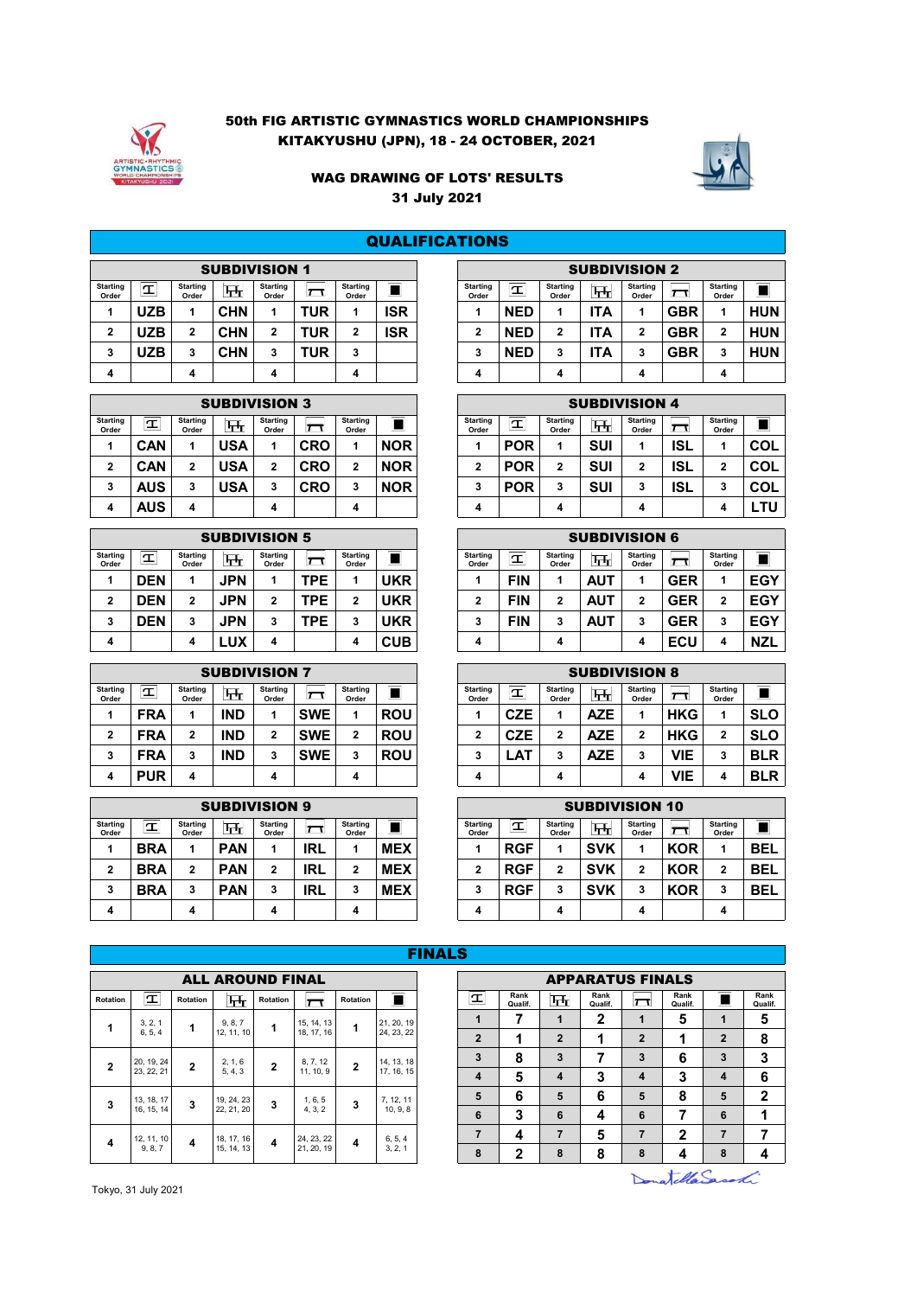

# 50th FIG ARTISTIC GYMNASTICS WORLD CHAMPIONSHIPS KITAKYUSHU (JPN), 18 - 24 OCTOBER, 2021



# WAG DRAWING OF LOTS' RESULTS 31 July 2021

|                          |      |                   |             |                          |              |                          |     | <b>QUALIFICATIONS</b> |                          |            |                          |                      |                          |              |              |
|--------------------------|------|-------------------|-------------|--------------------------|--------------|--------------------------|-----|-----------------------|--------------------------|------------|--------------------------|----------------------|--------------------------|--------------|--------------|
|                          |      |                   |             | <b>SUBDIVISION 1</b>     |              |                          |     |                       |                          |            |                          | <b>SUBDIVISION 2</b> |                          |              |              |
| <b>Starting</b><br>Order | T    | Starting<br>Order | <u>प्त,</u> | <b>Starting</b><br>Order | $\mathbf{1}$ | <b>Starting</b><br>Order |     |                       | <b>Starting</b><br>Order | I          | <b>Starting</b><br>Order | ᠮ᠇ᡀ                  | <b>Starting</b><br>Order | $\mathsf{r}$ | Start<br>Orc |
|                          | UZB  | 4                 | <b>CHN</b>  | 1                        | TUR          | 4                        | ISR |                       |                          | <b>NED</b> |                          | <b>ITA</b>           |                          | <b>GBR</b>   | 1            |
| 2                        | JZB. | 2                 | <b>CHN</b>  | 2                        | TUR          | 2                        | ISR |                       | $\overline{2}$           | <b>NED</b> | 2                        | <b>ITA</b>           | າ                        | <b>GBR</b>   | 2            |
| 3                        | UZB  | 3                 | <b>CHN</b>  | 3                        | TUR          | 3                        |     |                       | 3                        | <b>NED</b> | 3                        | <b>ITA</b>           | 3                        | <b>GBR</b>   | 3            |
| 4                        |      | 4                 |             | 4                        |              | 4                        |     |                       | 4                        |            | 4                        |                      | 4                        |              |              |

|                          |            |                          | <b>SUBDIVISION 3</b> |                          |                   |                          |            |
|--------------------------|------------|--------------------------|----------------------|--------------------------|-------------------|--------------------------|------------|
| <b>Starting</b><br>Order | <b>T</b>   | <b>Starting</b><br>Order | प्तन                 | <b>Starting</b><br>Order | $\overline{\tau}$ | <b>Starting</b><br>Order |            |
| 1                        | <b>CAN</b> | 1                        | <b>USA</b>           | 1                        | <b>CRO</b>        | 1                        | <b>NOR</b> |
| $\mathbf{2}$             | <b>CAN</b> | $\mathbf{2}$             | <b>USA</b>           | $\mathbf{2}$             | <b>CRO</b>        | $\mathbf{2}$             | <b>NOR</b> |
| 3                        | <b>AUS</b> | 3                        | <b>USA</b>           | 3                        | <b>CRO</b>        | 3                        | <b>NOR</b> |
| 4                        | <b>AUS</b> | 4                        |                      | 4                        |                   | 4                        |            |

|                          |             |                          |            | <b>SUBDIVISION 5</b>     |                         |                          |            |
|--------------------------|-------------|--------------------------|------------|--------------------------|-------------------------|--------------------------|------------|
| <b>Starting</b><br>Order | $\mathbf T$ | <b>Starting</b><br>Order | म्म        | <b>Starting</b><br>Order | $\overline{\mathsf{r}}$ | <b>Starting</b><br>Order |            |
| 1                        | <b>DEN</b>  | 1                        | <b>JPN</b> | 1                        | <b>TPE</b>              | 1                        | UKR        |
| $\mathbf{2}$             | <b>DEN</b>  | $\mathbf{2}$             | <b>JPN</b> | $\mathbf{2}$             | <b>TPE</b>              | $\mathbf{2}$             | <b>UKR</b> |
| 3                        | <b>DEN</b>  | 3                        | <b>JPN</b> | 3                        | <b>TPE</b>              | 3                        | UKR        |
| 4                        |             | 4                        | LUX        | 4                        |                         | 4                        | <b>CUB</b> |

|                          | <b>SUBDIVISION 7</b> |                          |            |                          |             |                          |                |  |  |  |  |  |  |  |  |
|--------------------------|----------------------|--------------------------|------------|--------------------------|-------------|--------------------------|----------------|--|--|--|--|--|--|--|--|
| <b>Starting</b><br>Order | $\mathbf{T}$         | <b>Starting</b><br>Order | म्म        | <b>Starting</b><br>Order | $\bm{\tau}$ | <b>Starting</b><br>Order | $\blacksquare$ |  |  |  |  |  |  |  |  |
| 1                        | <b>FRA</b>           | 1                        | <b>IND</b> | 1                        | <b>SWE</b>  | 1                        | <b>ROU</b>     |  |  |  |  |  |  |  |  |
| $\mathbf{2}$             | <b>FRA</b>           | $\mathbf{2}$             | <b>IND</b> | $\overline{2}$           | <b>SWE</b>  | $\mathbf{2}$             | <b>ROU</b>     |  |  |  |  |  |  |  |  |
| 3                        | <b>FRA</b>           | 3                        | <b>IND</b> | 3                        | <b>SWE</b>  | 3                        | <b>ROU</b>     |  |  |  |  |  |  |  |  |
| 4                        | <b>PUR</b>           | 4                        |            | 4                        |             | 4                        |                |  |  |  |  |  |  |  |  |

|                          | <b>SUBDIVISION 9</b> |                   |            |                   |     |                          |            |                          |            |                          | <b>SUBDIVISION 10</b> |                          |            |              |
|--------------------------|----------------------|-------------------|------------|-------------------|-----|--------------------------|------------|--------------------------|------------|--------------------------|-----------------------|--------------------------|------------|--------------|
| <b>Starting</b><br>Order | T                    | Starting<br>Order | स्त        | Starting<br>Order |     | <b>Starting</b><br>Order |            | <b>Starting</b><br>Order | $\tau$     | <b>Starting</b><br>Order | न्म $_{\rm H}$        | <b>Starting</b><br>Order | $\tau$     | Start<br>Orc |
|                          | <b>BRA</b>           |                   | <b>PAN</b> | и                 | IRL |                          | <b>MEX</b> |                          | <b>RGF</b> |                          | <b>SVK</b>            |                          | <b>KOR</b> | и            |
| 2                        | <b>BRA</b>           | 2                 | <b>PAN</b> | 2                 | IRL |                          | <b>MEX</b> | າ<br>▴                   | <b>RGF</b> |                          | <b>SVK</b>            | ີ                        | <b>KOR</b> |              |
| 3                        | <b>BRA</b>           | 3                 | <b>PAN</b> | 3                 | IRL |                          | <b>MEX</b> | 3                        | <b>RGF</b> |                          | <b>SVK</b>            |                          | <b>KOR</b> | 3            |
| 4                        |                      |                   |            | 4                 |     | 4                        |            | 4                        |            | 4                        |                       | 4                        |            |              |

|               |            |                          | <b>SUBDIVISION 1</b> |                          |              |                          |            | <b>SUBDIVISION 2</b>     |              |                          |     |                          |              |                          |            |  |
|---------------|------------|--------------------------|----------------------|--------------------------|--------------|--------------------------|------------|--------------------------|--------------|--------------------------|-----|--------------------------|--------------|--------------------------|------------|--|
| rting<br>rder | T          | <b>Starting</b><br>Order | फ़                   | <b>Starting</b><br>Order | $\mathbf{L}$ | <b>Starting</b><br>Order |            | <b>Starting</b><br>Order | $\mathbf{T}$ | <b>Starting</b><br>Order | ᠮᡪᡀ | <b>Starting</b><br>Order | $\mathbf{T}$ | <b>Starting</b><br>Order | ----<br>=  |  |
| л             | JZB        |                          | <b>CHN</b>           | 4                        | TUR          |                          | ISR        |                          | <b>NED</b>   |                          | ΤA  |                          | GBR          |                          | <b>HUN</b> |  |
| 2             | UZB        | 2                        | <b>CHN</b>           | 2                        | TUR          | ≘<br>-                   | <b>ISR</b> | 2                        | <b>NED</b>   | ŋ                        | TΑ  | ,<br>▴                   | GBR          | ≘                        | <b>HUN</b> |  |
| 3             | <b>JZB</b> | 3                        | CHN                  | ີ<br>c                   | TUR          | <u>.</u><br>J.           |            | J.                       | <b>NED</b>   |                          | ،TA | 3                        | GBR          | 3                        | <b>HUN</b> |  |
| 4             |            | 4                        |                      | 4                        |              | 4                        |            | 4                        |              | 4                        |     | 4                        |              | 4                        |            |  |

|               |            |                          | <b>SUBDIVISION 3</b> |                          |              |                          |            | <b>SUBDIVISION 4</b>     |            |                          |     |                          |     |                   |            |  |  |
|---------------|------------|--------------------------|----------------------|--------------------------|--------------|--------------------------|------------|--------------------------|------------|--------------------------|-----|--------------------------|-----|-------------------|------------|--|--|
| rting<br>rder | $\tau$     | <b>Starting</b><br>Order | प्त                  | <b>Starting</b><br>Order | $\mathbf{r}$ | <b>Starting</b><br>Order |            | <b>Starting</b><br>Order | ᠇<br>--    | <b>Starting</b><br>Order | फ्त | <b>Starting</b><br>Order |     | Starting<br>Order |            |  |  |
|               | CAN        |                          | <b>USA</b>           |                          | CRO          |                          | <b>NOR</b> |                          | <b>POR</b> |                          | SUI |                          | ISL |                   | COL        |  |  |
| 2             | CAN        | -                        | <b>USA</b>           | 2                        | CRO          |                          | <b>NOR</b> | ∍                        | <b>POR</b> | 2                        | SUI | ◠                        | ISL | ,<br>4            | <b>COL</b> |  |  |
| 3             | <b>AUS</b> | 3                        | <b>USA</b>           | 3                        | CRO          |                          | <b>NOR</b> | 3                        | <b>POR</b> | <b>•</b><br>٠J           | SUI |                          | ISL | 3                 | COL        |  |  |
| 4             | <b>AUS</b> | 4                        |                      | 4                        |              | 4                        |            | 4                        |            | 4                        |     | 4                        |     | л                 | LTU        |  |  |

|               |            |                          |            | <b>SUBDIVISION 5</b>     |            |                          |            | <b>SUBDIVISION 6</b>     |            |                          |                           |                          |            |                          |            |  |
|---------------|------------|--------------------------|------------|--------------------------|------------|--------------------------|------------|--------------------------|------------|--------------------------|---------------------------|--------------------------|------------|--------------------------|------------|--|
| rting<br>rder | T          | <b>Starting</b><br>Order | 出          | <b>Starting</b><br>Order |            | <b>Starting</b><br>Order |            | <b>Starting</b><br>Order | $\tau$     | <b>Starting</b><br>Order | $\overline{\mathbf{H}}$ r | <b>Starting</b><br>Order | $\sqrt{ }$ | <b>Starting</b><br>Order |            |  |
|               | <b>DEN</b> |                          | JPN        |                          | TPE.       |                          | <b>UKR</b> |                          | <b>FIN</b> |                          | <b>AUT</b>                |                          | <b>GER</b> | л                        | <b>EGY</b> |  |
| 2             | <b>DEN</b> | n                        | <b>JPN</b> | ົ                        | <b>TPE</b> |                          | <b>UKR</b> | 2                        | <b>FIN</b> | ◠                        | <b>AUT</b>                | ◠                        | <b>GER</b> | $\overline{2}$           | <b>EGY</b> |  |
| 3             | <b>DEN</b> | 3                        | <b>JPN</b> | 3                        | TPE        |                          | UKR        | 3                        | <b>FIN</b> |                          | <b>AUT</b>                |                          | <b>GER</b> | 3                        | <b>EGY</b> |  |
| 4             |            | 4                        | ∟ux        | 4                        |            | 4                        | <b>CUB</b> | 4                        |            | 4                        |                           | 4                        | ECU        | 4                        | <b>NZL</b> |  |

#### SUBDIVISION 8  $\boxed{\mathbf{T}}$  $\blacksquare$  $\overline{r}$ **Starting Order Starting Order Starting Order Starting Order 1 FRA 1 IND 1 SWE 1 ROU 1 CZE 1 AZE 1 HKG 1 SLO 2 FRA 2 IND 2 SWE 2 ROU 2 CZE 2 AZE 2 HKG 2 SLO 3 FRA 3 IND 3 SWE 3 ROU 3 LAT 3 AZE 3 VIE 3 BLR 4 PUR 4 4 4 4 4 4 VIE 4 BLR**

|               |            |                          |            | <b>SUBDIVISION 9</b>     |            |                          |            | <b>SUBDIVISION 10</b>    |            |                          |            |                          |            |                          |            |  |
|---------------|------------|--------------------------|------------|--------------------------|------------|--------------------------|------------|--------------------------|------------|--------------------------|------------|--------------------------|------------|--------------------------|------------|--|
| rting<br>rder | I          | <b>Starting</b><br>Order | ᠮ᠊ᡀ        | <b>Starting</b><br>Order | $\sqrt{ }$ | <b>Starting</b><br>Order |            | <b>Starting</b><br>Order | $\tau$     | <b>Starting</b><br>Order | स्त        | <b>Starting</b><br>Order |            | <b>Starting</b><br>Order |            |  |
|               | <b>BRA</b> |                          | <b>PAN</b> |                          | IRL        |                          | <b>MEX</b> |                          | <b>RGF</b> |                          | <b>SVK</b> |                          | <b>KOR</b> | 4.                       | <b>BEL</b> |  |
| 2             | <b>BRA</b> |                          | <b>PAN</b> | 2                        | IRL        |                          | <b>MEX</b> |                          | <b>RGF</b> | າ<br>4                   | <b>SVK</b> |                          | <b>KOR</b> | 2                        | <b>BEL</b> |  |
| 3             | <b>BRA</b> |                          | <b>PAN</b> | 3                        | IRL        |                          | <b>MEX</b> |                          | <b>RGF</b> | ໍາ<br>٠J                 | <b>SVK</b> |                          | <b>KOR</b> | <b>.</b><br>٠J           | <b>BEL</b> |  |
| 4             |            | 4                        |            | 4                        |            | 4                        |            | 4                        |            | 4                        |            | 4                        |            | 4                        |            |  |

|                 |            |                |                         |                |            |                |            | <b>FINALS</b> |                |                 |
|-----------------|------------|----------------|-------------------------|----------------|------------|----------------|------------|---------------|----------------|-----------------|
|                 |            |                | <b>ALL AROUND FINAL</b> |                |            |                |            |               |                |                 |
| <b>Rotation</b> | T          | Rotation       | म्म                     | Rotation       | $\tau$     | Rotation       |            |               | I              | Rank<br>Qualif. |
| 1               | 3, 2, 1    | 1              | 9, 8, 7                 | 1              | 15, 14, 13 | 1              | 21, 20, 19 |               | 1              | 7               |
|                 | 6, 5, 4    |                | 12, 11, 10              |                | 18, 17, 16 |                | 24, 23, 22 |               | $\overline{2}$ | 1               |
| $\overline{2}$  | 20, 19, 24 | $\overline{2}$ | 2, 1, 6                 | $\overline{2}$ | 8, 7, 12   | $\overline{2}$ | 14, 13, 18 |               | 3              | 8               |
|                 | 23, 22, 21 |                | 5, 4, 3                 |                | 11, 10, 9  |                | 17, 16, 15 |               | $\overline{4}$ | 5               |
| 3               | 13, 18, 17 | 3              | 19, 24, 23              | 3              | 1, 6, 5    | 3              | 7, 12, 11  |               | 5              | 6               |
|                 | 16, 15, 14 |                | 22, 21, 20              |                | 4, 3, 2    |                | 10, 9, 8   |               | 6              | 3               |
| 4               | 12, 11, 10 | 4              | 18, 17, 16              | 4              | 24, 23, 22 | 4              | 6, 5, 4    |               | $\overline{7}$ | 4               |
|                 | 9, 8, 7    |                | 15, 14, 13              |                | 21, 20, 19 |                | 3, 2, 1    |               | 8              | 2               |

|                     |                  |                |            |                |            | FINALS |                         |                 |                |                 |                |                 |                |                 |  |  |  |
|---------------------|------------------|----------------|------------|----------------|------------|--------|-------------------------|-----------------|----------------|-----------------|----------------|-----------------|----------------|-----------------|--|--|--|
|                     | ALL AROUND FINAL |                |            |                |            |        | <b>APPARATUS FINALS</b> |                 |                |                 |                |                 |                |                 |  |  |  |
| otation             | प्तन             | Rotation       | $\tau$     | Rotation       |            |        | I                       | Rank<br>Qualif. | $H_{\rm T}$    | Rank<br>Qualif. | $\mathsf{H}$   | Rank<br>Qualif. |                | Rank<br>Qualif. |  |  |  |
| 1                   | 9, 8, 7          | 1              | 15, 14, 13 | 1              | 21, 20, 19 |        | $\blacktriangleleft$    | 7               | 1              | $\mathbf{2}$    | 1              | 5               | 1              | 5               |  |  |  |
|                     | 12, 11, 10       |                | 18, 17, 16 |                | 24, 23, 22 |        | $\overline{2}$          | 1               | $\overline{2}$ | 1               | $\overline{2}$ | 1               | $\overline{2}$ | 8               |  |  |  |
| $\overline{2}$      | 2, 1, 6          | $\overline{2}$ | 8, 7, 12   | $\overline{2}$ | 14, 13, 18 |        | 3                       | 8               | 3              | 7               | 3              | 6               | 3              | 3               |  |  |  |
|                     | 5, 4, 3          |                | 11, 10, 9  |                | 17, 16, 15 |        | $\overline{\mathbf{4}}$ | 5               | 4              | 3               | $\overline{4}$ | 3               | $\overline{4}$ | 6               |  |  |  |
| 3                   | 19, 24, 23       | 3              | 1, 6, 5    | 3              | 7, 12, 11  |        | 5                       | 6               | 5              | 6               | 5              | 8               | 5              | $\mathbf{2}$    |  |  |  |
|                     | 22, 21, 20       |                | 4, 3, 2    |                | 10, 9, 8   |        | 6                       | 3               | 6              | 4               | 6              | 7               | 6              | 1               |  |  |  |
| $\overline{\bf{4}}$ | 18, 17, 16       | 4              | 24, 23, 22 | 4              | 6, 5, 4    |        | $\overline{7}$          | 4               | 7              | 5               | $\overline{7}$ | $\mathbf{2}$    | $\overline{7}$ | 7               |  |  |  |
|                     | 15, 14, 13       |                | 21, 20, 19 |                | 3, 2, 1    |        | 8                       | $\mathbf{2}$    | 8              | 8               | 8              | 4               | 8              | 4               |  |  |  |
|                     |                  |                |            |                |            |        |                         |                 |                |                 |                |                 |                |                 |  |  |  |

Donatella Saconti

Tokyo, 31 July 2021